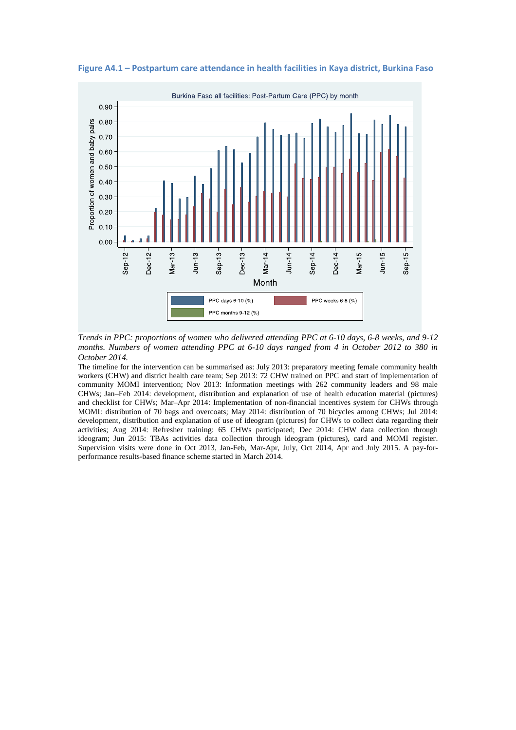

**Figure A4.1 – Postpartum care attendance in health facilities in Kaya district, Burkina Faso**

*Trends in PPC: proportions of women who delivered attending PPC at 6-10 days, 6-8 weeks, and 9-12 months. Numbers of women attending PPC at 6-10 days ranged from 4 in October 2012 to 380 in October 2014.*

The timeline for the intervention can be summarised as: July 2013: preparatory meeting female community health workers (CHW) and district health care team; Sep 2013: 72 CHW trained on PPC and start of implementation of community MOMI intervention; Nov 2013: Information meetings with 262 community leaders and 98 male CHWs; Jan–Feb 2014: development, distribution and explanation of use of health education material (pictures) and checklist for CHWs; Mar–Apr 2014: Implementation of non-financial incentives system for CHWs through MOMI: distribution of 70 bags and overcoats; May 2014: distribution of 70 bicycles among CHWs; Jul 2014: development, distribution and explanation of use of ideogram (pictures) for CHWs to collect data regarding their activities; Aug 2014: Refresher training: 65 CHWs participated; Dec 2014: CHW data collection through ideogram; Jun 2015: TBAs activities data collection through ideogram (pictures), card and MOMI register. Supervision visits were done in Oct 2013, Jan-Feb, Mar-Apr, July, Oct 2014, Apr and July 2015. A pay-forperformance results-based finance scheme started in March 2014.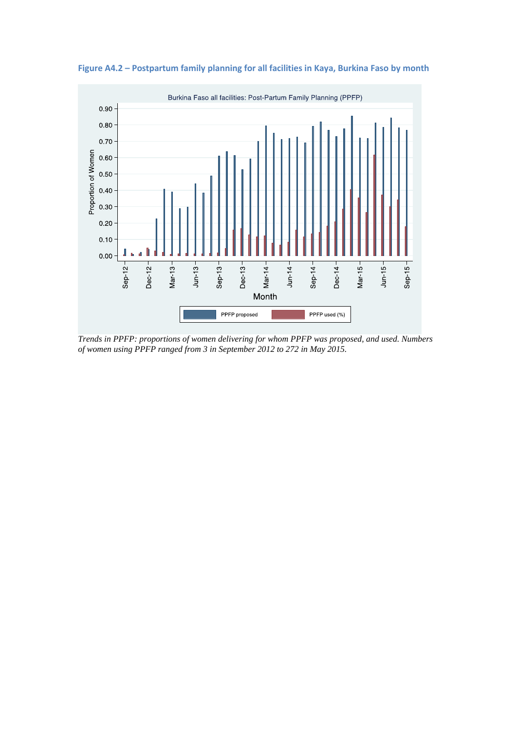

**Figure A4.2 – Postpartum family planning for all facilities in Kaya, Burkina Faso by month** 

*Trends in PPFP: proportions of women delivering for whom PPFP was proposed, and used. Numbers of women using PPFP ranged from 3 in September 2012 to 272 in May 2015.*